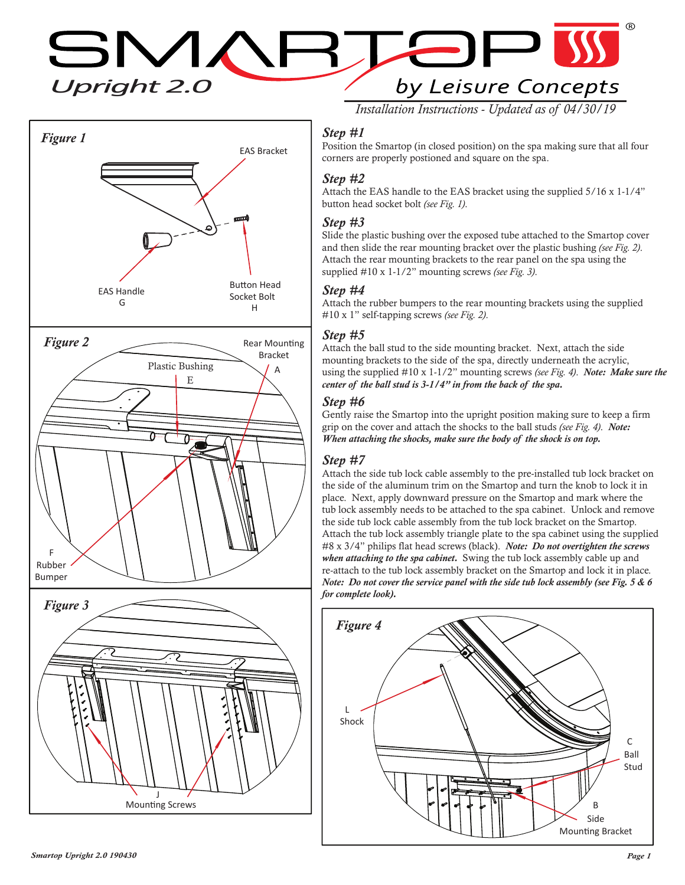**SMARTOP**<br>Upright 2.0<br>by Leisure Cor by Leisure Concepts



*Installation Instructions - Updated as of 04/30/19*

## *Step #1*

Position the Smartop (in closed position) on the spa making sure that all four corners are properly postioned and square on the spa.

### *Step #2*

Attach the EAS handle to the EAS bracket using the supplied 5/16 x 1-1/4" button head socket bolt *(see Fig. 1)*.

#### *Step #3*

Slide the plastic bushing over the exposed tube attached to the Smartop cover and then slide the rear mounting bracket over the plastic bushing *(see Fig. 2)*. Attach the rear mounting brackets to the rear panel on the spa using the supplied #10 x 1-1/2" mounting screws *(see Fig. 3)*.

#### *Step #4*

Attach the rubber bumpers to the rear mounting brackets using the supplied #10 x 1" self-tapping screws *(see Fig. 2)*.

### *Step #5*

Attach the ball stud to the side mounting bracket. Next, attach the side mounting brackets to the side of the spa, directly underneath the acrylic, using the supplied #10 x 1-1/2" mounting screws *(see Fig. 4)*. *Note: Make sure the center of the ball stud is 3-1/4" in from the back of the spa.* 

### *Step #6*

Gently raise the Smartop into the upright position making sure to keep a firm grip on the cover and attach the shocks to the ball studs *(see Fig. 4)*. *Note: When attaching the shocks, make sure the body of the shock is on top.*

### *Step #7*

Attach the side tub lock cable assembly to the pre-installed tub lock bracket on the side of the aluminum trim on the Smartop and turn the knob to lock it in place. Next, apply downward pressure on the Smartop and mark where the tub lock assembly needs to be attached to the spa cabinet. Unlock and remove the side tub lock cable assembly from the tub lock bracket on the Smartop. Attach the tub lock assembly triangle plate to the spa cabinet using the supplied #8 x 3/4" philips flat head screws (black). *Note: Do not overtighten the screws when attaching to the spa cabinet.* Swing the tub lock assembly cable up and re-attach to the tub lock assembly bracket on the Smartop and lock it in place. *Note: Do not cover the service panel with the side tub lock assembly (see Fig. 5 & 6 for complete look).*